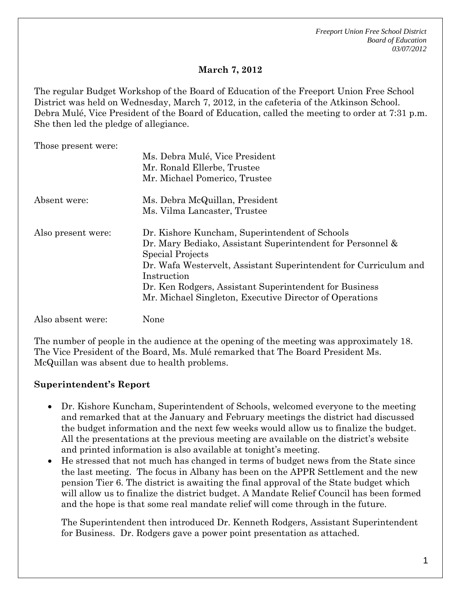*Freeport Union Free School District Board of Education 03/07/2012*

# **March 7, 2012**

The regular Budget Workshop of the Board of Education of the Freeport Union Free School District was held on Wednesday, March 7, 2012, in the cafeteria of the Atkinson School. Debra Mulé, Vice President of the Board of Education, called the meeting to order at 7:31 p.m. She then led the pledge of allegiance.

Those present were:

|                    | Ms. Debra Mulé, Vice President                                   |
|--------------------|------------------------------------------------------------------|
|                    | Mr. Ronald Ellerbe, Trustee                                      |
|                    | Mr. Michael Pomerico, Trustee                                    |
| Absent were:       | Ms. Debra McQuillan, President                                   |
|                    | Ms. Vilma Lancaster, Trustee                                     |
| Also present were: | Dr. Kishore Kuncham, Superintendent of Schools                   |
|                    | Dr. Mary Bediako, Assistant Superintendent for Personnel &       |
|                    | Special Projects                                                 |
|                    | Dr. Wafa Westervelt, Assistant Superintendent for Curriculum and |
|                    | Instruction                                                      |
|                    | Dr. Ken Rodgers, Assistant Superintendent for Business           |
|                    | Mr. Michael Singleton, Executive Director of Operations          |
|                    |                                                                  |

Also absent were: None

The number of people in the audience at the opening of the meeting was approximately 18. The Vice President of the Board, Ms. Mulé remarked that The Board President Ms. McQuillan was absent due to health problems.

## **Superintendent's Report**

- Dr. Kishore Kuncham, Superintendent of Schools, welcomed everyone to the meeting and remarked that at the January and February meetings the district had discussed the budget information and the next few weeks would allow us to finalize the budget. All the presentations at the previous meeting are available on the district's website and printed information is also available at tonight's meeting.
- He stressed that not much has changed in terms of budget news from the State since the last meeting. The focus in Albany has been on the APPR Settlement and the new pension Tier 6. The district is awaiting the final approval of the State budget which will allow us to finalize the district budget. A Mandate Relief Council has been formed and the hope is that some real mandate relief will come through in the future.

The Superintendent then introduced Dr. Kenneth Rodgers, Assistant Superintendent for Business. Dr. Rodgers gave a power point presentation as attached.